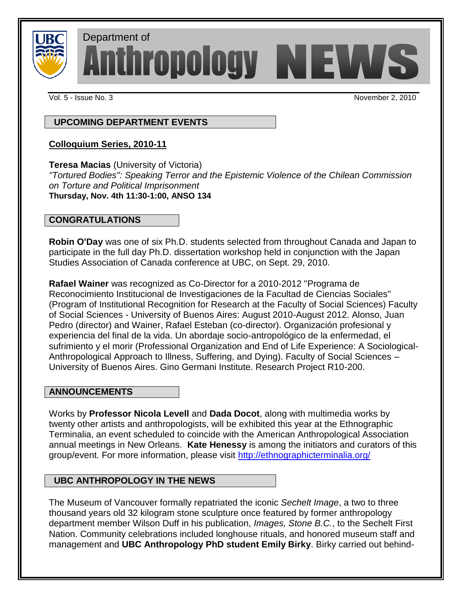

Department of<br>Anthropology NEWS

Vol. 5 - Issue No. 3 November 2, 2010

 **UPCOMING DEPARTMENT EVENTS**

# **Colloquium Series, 2010-11**

**Teresa Macias** (University of Victoria)

*"Tortured Bodies": Speaking Terror and the Epistemic Violence of the Chilean Commission on Torture and Political Imprisonment* **Thursday, Nov. 4th 11:30-1:00, ANSO 134**

# **CONGRATULATIONS**

**Robin O'Day** was one of six Ph.D. students selected from throughout Canada and Japan to participate in the full day Ph.D. dissertation workshop held in conjunction with the Japan Studies Association of Canada conference at UBC, on Sept. 29, 2010.

**Rafael Wainer** was recognized as Co-Director for a 2010-2012 "Programa de Reconocimiento Institucional de Investigaciones de la Facultad de Ciencias Sociales" (Program of Institutional Recognition for Research at the Faculty of Social Sciences) Faculty of Social Sciences - University of Buenos Aires: August 2010-August 2012. Alonso, Juan Pedro (director) and Wainer, Rafael Esteban (co-director). Organización profesional y experiencia del final de la vida. Un abordaje socio-antropológico de la enfermedad, el sufrimiento y el morir (Professional Organization and End of Life Experience: A Sociological-Anthropological Approach to Illness, Suffering, and Dying). Faculty of Social Sciences – University of Buenos Aires. Gino Germani Institute. Research Project R10-200.

# **ANNOUNCEMENTS**

Works by **Professor Nicola Levell** and **Dada Docot**, along with multimedia works by twenty other artists and anthropologists, will be exhibited this year at the Ethnographic Terminalia, an event scheduled to coincide with the American Anthropological Association annual meetings in New Orleans. **Kate Henessy** is among the initiators and curators of this group/event. For more information, please visit<http://ethnographicterminalia.org/>

# **UBC ANTHROPOLOGY IN THE NEWS**

The Museum of Vancouver formally repatriated the iconic *Sechelt Image*, a two to three thousand years old 32 kilogram stone sculpture once featured by former anthropology department member Wilson Duff in his publication, *Images, Stone B.C.*, to the Sechelt First Nation. Community celebrations included longhouse rituals, and honored museum staff and management and **UBC Anthropology PhD student Emily Birky**. Birky carried out behind-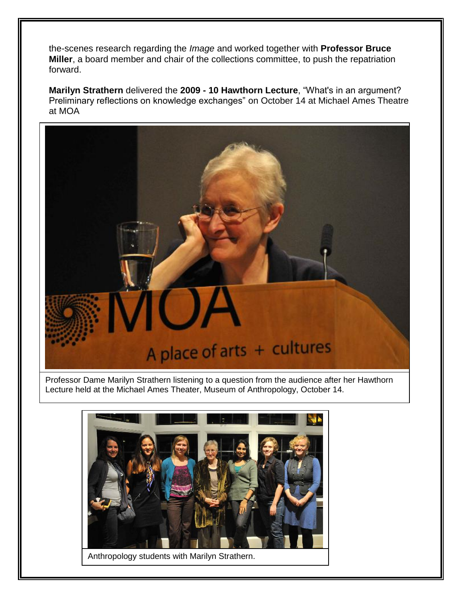the-scenes research regarding the *Image* and worked together with **Professor Bruce Miller**, a board member and chair of the collections committee, to push the repatriation forward.

Marilyn Strathern delivered the 2009 - 10 Hawthorn Lecture, "What's in an argument? Preliminary reflections on knowledge exchanges" on October 14 at Michael Ames Theatre at MOA



Professor Dame Marilyn Strathern listening to a question from the audience after her Hawthorn Lecture held at the Michael Ames Theater, Museum of Anthropology, October 14.



Anthropology students with Marilyn Strathern.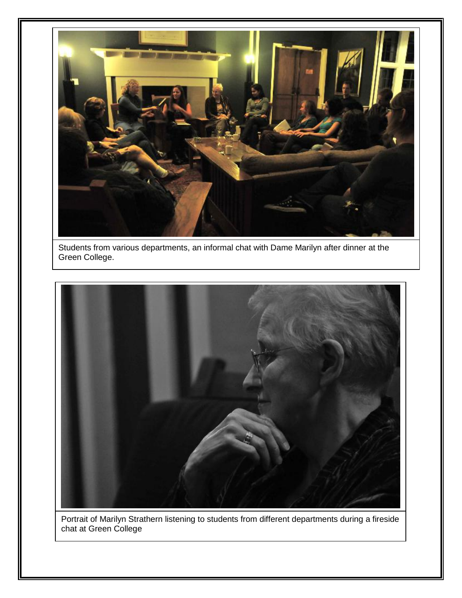

Students from various departments, an informal chat with Dame Marilyn after dinner at the Green College.



Portrait of Marilyn Strathern listening to students from different departments during a fireside chat at Green College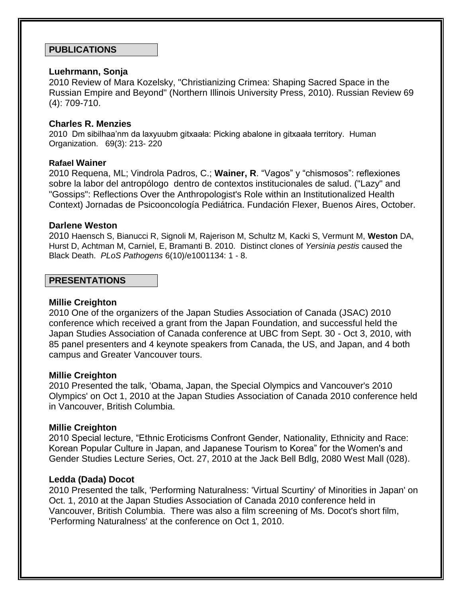## **PUBLICATIONS**

### **Luehrmann, Sonja**

2010 Review of Mara Kozelsky, "Christianizing Crimea: Shaping Sacred Space in the Russian Empire and Beyond" (Northern Illinois University Press, 2010). Russian Review 69 (4): 709-710.

### **Charles R. Menzies**

2010 Dm sibilhaa'nm da laxyuubm gitxaała: Picking abalone in gitxaała territory. Human Organization. 69(3): 213- 220

#### **Rafael Wainer**

2010 Requena, ML; Vindrola Padros, C.; Wainer, R. "Vagos" y "chismosos": reflexiones sobre la labor del antropólogo dentro de contextos institucionales de salud. ("Lazy" and "Gossips": Reflections Over the Anthropologist's Role within an Institutionalized Health Context) Jornadas de Psicooncología Pediátrica. Fundación Flexer, Buenos Aires, October.

### **Darlene Weston**

2010 Haensch S, Bianucci R, Signoli M, Rajerison M, Schultz M, Kacki S, Vermunt M, **Weston** DA, Hurst D, Achtman M, Carniel, E, Bramanti B. 2010. Distinct clones of *Yersinia pestis* caused the Black Death. *PLoS Pathogens* 6(10)/e1001134: 1 - 8.

# **PRESENTATIONS**

#### **Millie Creighton**

2010 One of the organizers of the Japan Studies Association of Canada (JSAC) 2010 conference which received a grant from the Japan Foundation, and successful held the Japan Studies Association of Canada conference at UBC from Sept. 30 - Oct 3, 2010, with 85 panel presenters and 4 keynote speakers from Canada, the US, and Japan, and 4 both campus and Greater Vancouver tours.

#### **Millie Creighton**

2010 Presented the talk, 'Obama, Japan, the Special Olympics and Vancouver's 2010 Olympics' on Oct 1, 2010 at the Japan Studies Association of Canada 2010 conference held in Vancouver, British Columbia.

### **Millie Creighton**

2010 Special lecture, "Ethnic Eroticisms Confront Gender, Nationality, Ethnicity and Race: Korean Popular Culture in Japan, and Japanese Tourism to Korea" for the Women's and Gender Studies Lecture Series, Oct. 27, 2010 at the Jack Bell Bdlg, 2080 West Mall (028).

### **Ledda (Dada) Docot**

2010 Presented the talk, 'Performing Naturalness: 'Virtual Scurtiny' of Minorities in Japan' on Oct. 1, 2010 at the Japan Studies Association of Canada 2010 conference held in Vancouver, British Columbia. There was also a film screening of Ms. Docot's short film, 'Performing Naturalness' at the conference on Oct 1, 2010.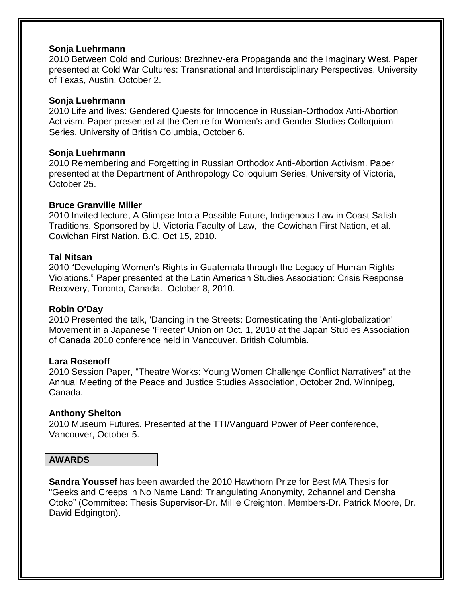### **Sonja Luehrmann**

2010 Between Cold and Curious: Brezhnev-era Propaganda and the Imaginary West. Paper presented at Cold War Cultures: Transnational and Interdisciplinary Perspectives. University of Texas, Austin, October 2.

### **Sonja Luehrmann**

2010 Life and lives: Gendered Quests for Innocence in Russian-Orthodox Anti-Abortion Activism. Paper presented at the Centre for Women's and Gender Studies Colloquium Series, University of British Columbia, October 6.

### **Sonja Luehrmann**

2010 Remembering and Forgetting in Russian Orthodox Anti-Abortion Activism. Paper presented at the Department of Anthropology Colloquium Series, University of Victoria, October 25.

### **Bruce Granville Miller**

2010 Invited lecture, A Glimpse Into a Possible Future, Indigenous Law in Coast Salish Traditions. Sponsored by U. Victoria Faculty of Law, the Cowichan First Nation, et al. Cowichan First Nation, B.C. Oct 15, 2010.

### **Tal Nitsan**

2010 "Developing Women's Rights in Guatemala through the Legacy of Human Rights Violations.‖ Paper presented at the Latin American Studies Association: Crisis Response Recovery, Toronto, Canada. October 8, 2010.

### **Robin O'Day**

2010 Presented the talk, 'Dancing in the Streets: Domesticating the 'Anti-globalization' Movement in a Japanese 'Freeter' Union on Oct. 1, 2010 at the Japan Studies Association of Canada 2010 conference held in Vancouver, British Columbia.

### **Lara Rosenoff**

2010 Session Paper, "Theatre Works: Young Women Challenge Conflict Narratives" at the Annual Meeting of the Peace and Justice Studies Association, October 2nd, Winnipeg, Canada.

### **Anthony Shelton**

2010 Museum Futures. Presented at the TTI/Vanguard Power of Peer conference, Vancouver, October 5.

#### **AWARDS**

**Sandra Youssef** has been awarded the 2010 Hawthorn Prize for Best MA Thesis for "Geeks and Creeps in No Name Land: Triangulating Anonymity, 2channel and Densha Otoko‖ (Committee: Thesis Supervisor-Dr. Millie Creighton, Members-Dr. Patrick Moore, Dr. David Edgington).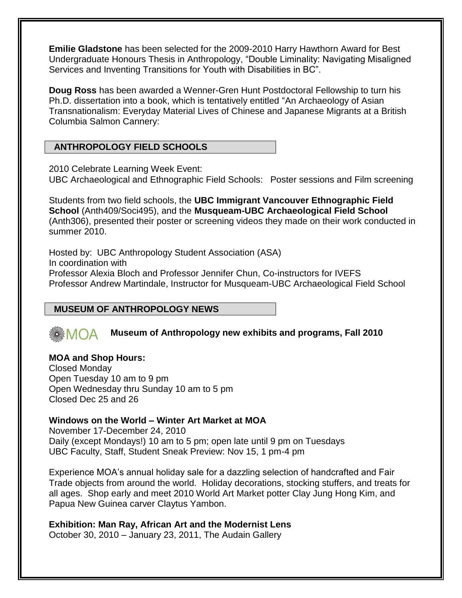**Emilie Gladstone** has been selected for the 2009-2010 Harry Hawthorn Award for Best Undergraduate Honours Thesis in Anthropology, "Double Liminality: Navigating Misaligned Services and Inventing Transitions for Youth with Disabilities in BC".

**Doug Ross** has been awarded a Wenner-Gren Hunt Postdoctoral Fellowship to turn his Ph.D. dissertation into a book, which is tentatively entitled "An Archaeology of Asian Transnationalism: Everyday Material Lives of Chinese and Japanese Migrants at a British Columbia Salmon Cannery:

# **ANTHROPOLOGY FIELD SCHOOLS**

2010 Celebrate Learning Week Event:

UBC Archaeological and Ethnographic Field Schools: Poster sessions and Film screening

Students from two field schools, the **UBC Immigrant Vancouver Ethnographic Field School** (Anth409/Soci495), and the **Musqueam-UBC Archaeological Field School** (Anth306), presented their poster or screening videos they made on their work conducted in summer 2010.

Hosted by: UBC Anthropology Student Association (ASA) In coordination with Professor Alexia Bloch and Professor Jennifer Chun, Co-instructors for IVEFS Professor Andrew Martindale, Instructor for Musqueam-UBC Archaeological Field School

# **MUSEUM OF ANTHROPOLOGY NEWS**

#### **Museum of Anthropology new exhibits and programs, Fall 2010** $MOA$

## **MOA and Shop Hours:** Closed Monday Open Tuesday 10 am to 9 pm Open Wednesday thru Sunday 10 am to 5 pm Closed Dec 25 and 26

# **Windows on the World – Winter Art Market at MOA**

November 17-December 24, 2010 Daily (except Mondays!) 10 am to 5 pm; open late until 9 pm on Tuesdays UBC Faculty, Staff, Student Sneak Preview: Nov 15, 1 pm-4 pm

Experience MOA's annual holiday sale for a dazzling selection of handcrafted and Fair Trade objects from around the world. Holiday decorations, stocking stuffers, and treats for all ages. Shop early and meet 2010 World Art Market potter Clay Jung Hong Kim, and Papua New Guinea carver Claytus Yambon.

**Exhibition: Man Ray, African Art and the Modernist Lens** October 30, 2010 – January 23, 2011, The Audain Gallery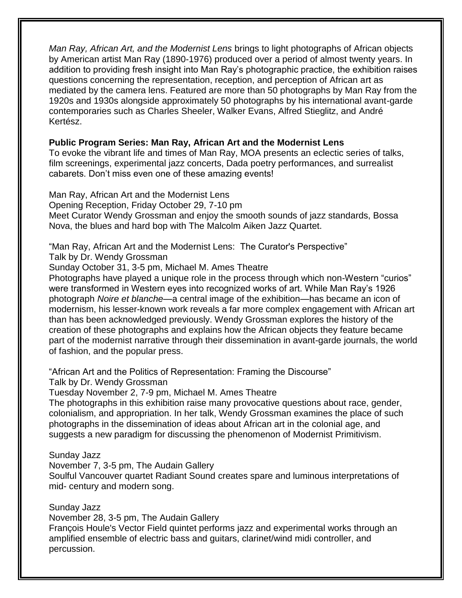*Man Ray, African Art, and the Modernist Lens* brings to light photographs of African objects by American artist Man Ray (1890-1976) produced over a period of almost twenty years. In addition to providing fresh insight into Man Ray's photographic practice, the exhibition raises questions concerning the representation, reception, and perception of African art as mediated by the camera lens. Featured are more than 50 photographs by Man Ray from the 1920s and 1930s alongside approximately 50 photographs by his international avant-garde contemporaries such as Charles Sheeler, Walker Evans, Alfred Stieglitz, and André Kertész.

# **Public Program Series: Man Ray, African Art and the Modernist Lens**

To evoke the vibrant life and times of Man Ray, MOA presents an eclectic series of talks, film screenings, experimental jazz concerts, Dada poetry performances, and surrealist cabarets. Don't miss even one of these amazing events!

Man Ray, African Art and the Modernist Lens Opening Reception, Friday October 29, 7-10 pm Meet Curator Wendy Grossman and enjoy the smooth sounds of jazz standards, Bossa Nova, the blues and hard bop with The Malcolm Aiken Jazz Quartet.

"Man Ray, African Art and the Modernist Lens: The Curator's Perspective"

Talk by Dr. Wendy Grossman

Sunday October 31, 3-5 pm, Michael M. Ames Theatre

Photographs have played a unique role in the process through which non-Western "curios" were transformed in Western eyes into recognized works of art. While Man Ray's 1926 photograph *Noire et blanche—*a central image of the exhibition—has became an icon of modernism, his lesser-known work reveals a far more complex engagement with African art than has been acknowledged previously. Wendy Grossman explores the history of the creation of these photographs and explains how the African objects they feature became part of the modernist narrative through their dissemination in avant-garde journals, the world of fashion, and the popular press.

"African Art and the Politics of Representation: Framing the Discourse"

Talk by Dr. Wendy Grossman

Tuesday November 2, 7-9 pm, Michael M. Ames Theatre

The photographs in this exhibition raise many provocative questions about race, gender, colonialism, and appropriation. In her talk, Wendy Grossman examines the place of such photographs in the dissemination of ideas about African art in the colonial age, and suggests a new paradigm for discussing the phenomenon of Modernist Primitivism.

# Sunday Jazz

November 7, 3-5 pm, The Audain Gallery

Soulful Vancouver quartet Radiant Sound creates spare and luminous interpretations of mid- century and modern song.

Sunday Jazz

November 28, 3-5 pm, The Audain Gallery

François Houle's Vector Field quintet performs jazz and experimental works through an amplified ensemble of electric bass and guitars, clarinet/wind midi controller, and percussion.